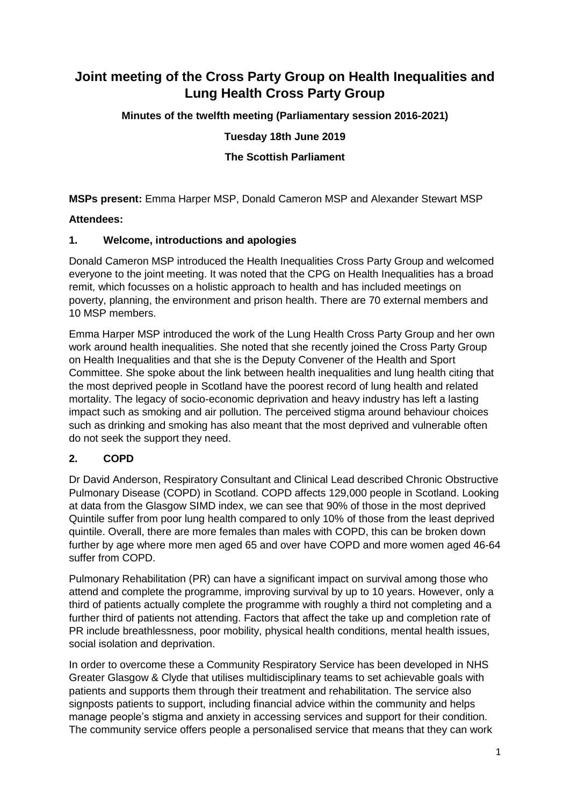# **Joint meeting of the Cross Party Group on Health Inequalities and Lung Health Cross Party Group**

**Minutes of the twelfth meeting (Parliamentary session 2016-2021)**

**Tuesday 18th June 2019**

**The Scottish Parliament**

**MSPs present:** Emma Harper MSP, Donald Cameron MSP and Alexander Stewart MSP

#### **Attendees:**

#### **1. Welcome, introductions and apologies**

Donald Cameron MSP introduced the Health Inequalities Cross Party Group and welcomed everyone to the joint meeting. It was noted that the CPG on Health Inequalities has a broad remit, which focusses on a holistic approach to health and has included meetings on poverty, planning, the environment and prison health. There are 70 external members and 10 MSP members.

Emma Harper MSP introduced the work of the Lung Health Cross Party Group and her own work around health inequalities. She noted that she recently joined the Cross Party Group on Health Inequalities and that she is the Deputy Convener of the Health and Sport Committee. She spoke about the link between health inequalities and lung health citing that the most deprived people in Scotland have the poorest record of lung health and related mortality. The legacy of socio-economic deprivation and heavy industry has left a lasting impact such as smoking and air pollution. The perceived stigma around behaviour choices such as drinking and smoking has also meant that the most deprived and vulnerable often do not seek the support they need.

#### **2. COPD**

Dr David Anderson, Respiratory Consultant and Clinical Lead described Chronic Obstructive Pulmonary Disease (COPD) in Scotland. COPD affects 129,000 people in Scotland. Looking at data from the Glasgow SIMD index, we can see that 90% of those in the most deprived Quintile suffer from poor lung health compared to only 10% of those from the least deprived quintile. Overall, there are more females than males with COPD, this can be broken down further by age where more men aged 65 and over have COPD and more women aged 46-64 suffer from COPD.

Pulmonary Rehabilitation (PR) can have a significant impact on survival among those who attend and complete the programme, improving survival by up to 10 years. However, only a third of patients actually complete the programme with roughly a third not completing and a further third of patients not attending. Factors that affect the take up and completion rate of PR include breathlessness, poor mobility, physical health conditions, mental health issues, social isolation and deprivation.

In order to overcome these a Community Respiratory Service has been developed in NHS Greater Glasgow & Clyde that utilises multidisciplinary teams to set achievable goals with patients and supports them through their treatment and rehabilitation. The service also signposts patients to support, including financial advice within the community and helps manage people's stigma and anxiety in accessing services and support for their condition. The community service offers people a personalised service that means that they can work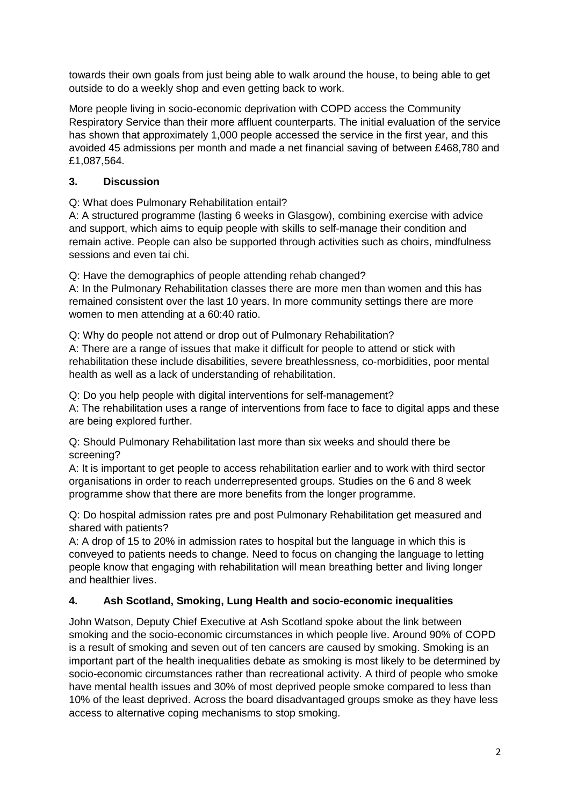towards their own goals from just being able to walk around the house, to being able to get outside to do a weekly shop and even getting back to work.

More people living in socio-economic deprivation with COPD access the Community Respiratory Service than their more affluent counterparts. The initial evaluation of the service has shown that approximately 1,000 people accessed the service in the first year, and this avoided 45 admissions per month and made a net financial saving of between £468,780 and £1,087,564.

### **3. Discussion**

Q: What does Pulmonary Rehabilitation entail?

A: A structured programme (lasting 6 weeks in Glasgow), combining exercise with advice and support, which aims to equip people with skills to self-manage their condition and remain active. People can also be supported through activities such as choirs, mindfulness sessions and even tai chi.

Q: Have the demographics of people attending rehab changed?

A: In the Pulmonary Rehabilitation classes there are more men than women and this has remained consistent over the last 10 years. In more community settings there are more women to men attending at a 60:40 ratio.

Q: Why do people not attend or drop out of Pulmonary Rehabilitation? A: There are a range of issues that make it difficult for people to attend or stick with rehabilitation these include disabilities, severe breathlessness, co-morbidities, poor mental health as well as a lack of understanding of rehabilitation.

Q: Do you help people with digital interventions for self-management?

A: The rehabilitation uses a range of interventions from face to face to digital apps and these are being explored further.

Q: Should Pulmonary Rehabilitation last more than six weeks and should there be screening?

A: It is important to get people to access rehabilitation earlier and to work with third sector organisations in order to reach underrepresented groups. Studies on the 6 and 8 week programme show that there are more benefits from the longer programme.

Q: Do hospital admission rates pre and post Pulmonary Rehabilitation get measured and shared with patients?

A: A drop of 15 to 20% in admission rates to hospital but the language in which this is conveyed to patients needs to change. Need to focus on changing the language to letting people know that engaging with rehabilitation will mean breathing better and living longer and healthier lives.

# **4. Ash Scotland, Smoking, Lung Health and socio-economic inequalities**

John Watson, Deputy Chief Executive at Ash Scotland spoke about the link between smoking and the socio-economic circumstances in which people live. Around 90% of COPD is a result of smoking and seven out of ten cancers are caused by smoking. Smoking is an important part of the health inequalities debate as smoking is most likely to be determined by socio-economic circumstances rather than recreational activity. A third of people who smoke have mental health issues and 30% of most deprived people smoke compared to less than 10% of the least deprived. Across the board disadvantaged groups smoke as they have less access to alternative coping mechanisms to stop smoking.